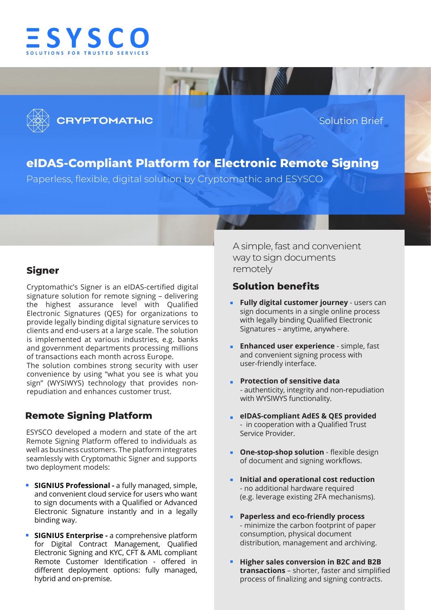



Solution Brief

# **eIDAS-Compliant Platform for Electronic Remote Signing**

Paperless, flexible, digital solution by Cryptomathic and ESYSCO

## **Signer**

Cryptomathic's Signer is an eIDAS-certified digital signature solution for remote signing – delivering the highest assurance level with Qualified Electronic Signatures (QES) for organizations to provide legally binding digital signature services to clients and end-users at a large scale. The solution is implemented at various industries, e.g. banks and government departments processing millions of transactions each month across Europe.

The solution combines strong security with user convenience by using "what you see is what you sign" (WYSIWYS) technology that provides nonrepudiation and enhances customer trust.

# **Remote Signing Platform**

ESYSCO developed a modern and state of the art Remote Signing Platform offered to individuals as well as business customers. The platform integrates seamlessly with Cryptomathic Signer and supports two deployment models:

- **SIGNIUS Professional a fully managed, simple,** and convenient cloud service for users who want to sign documents with a Qualified or Advanced Electronic Signature instantly and in a legally binding way.
- **SIGNIUS Enterprise a comprehensive platform** for Digital Contract Management, Qualified Electronic Signing and KYC, CFT & AML compliant Remote Customer Identification - offered in different deployment options: fully managed, hybrid and on-premise.

A simple, fast and convenient way to sign documents remotely

## **Solution benefits**

- **Fully digital customer journey** users can sign documents in a single online process with legally binding Qualified Electronic Signatures – anytime, anywhere.
- **Enhanced user experience** simple, fast and convenient signing process with user-friendly interface.
- **Protection of sensitive data**  - authenticity, integrity and non-repudiation with WYSIWYS functionality.
- **eIDAS-compliant AdES & QES provided**  - in cooperation with a Qualified Trust Service Provider.
- **Cone-stop-shop solution** flexible design of document and signing workflows.
- $\mathbf{u}$  . **Initial and operational cost reduction** - no additional hardware required (e.g. leverage existing 2FA mechanisms).
- **Paperless and eco-friendly process**   $\mathbf{m}$  . - minimize the carbon footprint of paper consumption, physical document distribution, management and archiving.
- **Higher sales conversion in B2C and B2B**   $\mathbf{u}$  . **transactions** – shorter, faster and simplified process of finalizing and signing contracts.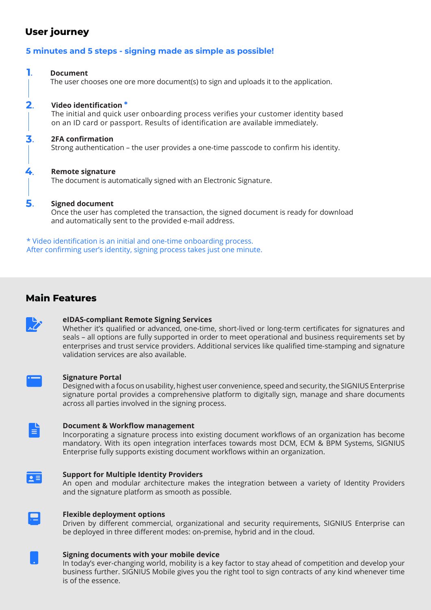# **User journey**

## **5 minutes and 5 steps - signing made as simple as possible!**

#### Т. **Document**

The user chooses one ore more document(s) to sign and uploads it to the application.

#### $2.$ **Video identification \*** The initial and quick user onboarding process verifies your customer identity based on an ID card or passport. Results of identification are available immediately.

#### 3. **2FA confirmation**

Strong authentication – the user provides a one-time passcode to confirm his identity.

#### 4. **Remote signature**

The document is automatically signed with an Electronic Signature.

#### 5. **Signed document**

Once the user has completed the transaction, the signed document is ready for download and automatically sent to the provided e-mail address.

\* Video identification is an initial and one-time onboarding process. After confirming user's identity, signing process takes just one minute.

## **Main Features**



## **eIDAS-compliant Remote Signing Services**

Whether it's qualified or advanced, one-time, short-lived or long-term certificates for signatures and seals – all options are fully supported in order to meet operational and business requirements set by enterprises and trust service providers. Additional services like qualified time-stamping and signature validation services are also available.



### **Signature Portal**

Designed with a focus on usability, highest user convenience, speed and security, the SIGNIUS Enterprise signature portal provides a comprehensive platform to digitally sign, manage and share documents across all parties involved in the signing process.



## **Document & Workflow management**

Incorporating a signature process into existing document workflows of an organization has become mandatory. With its open integration interfaces towards most DCM, ECM & BPM Systems, SIGNIUS Enterprise fully supports existing document workflows within an organization.



### **Support for Multiple Identity Providers**

An open and modular architecture makes the integration between a variety of Identity Providers and the signature platform as smooth as possible.



## **Flexible deployment options**

Driven by different commercial, organizational and security requirements, SIGNIUS Enterprise can be deployed in three different modes: on-premise, hybrid and in the cloud.



In today's ever-changing world, mobility is a key factor to stay ahead of competition and develop your business further. SIGNIUS Mobile gives you the right tool to sign contracts of any kind whenever time is of the essence.